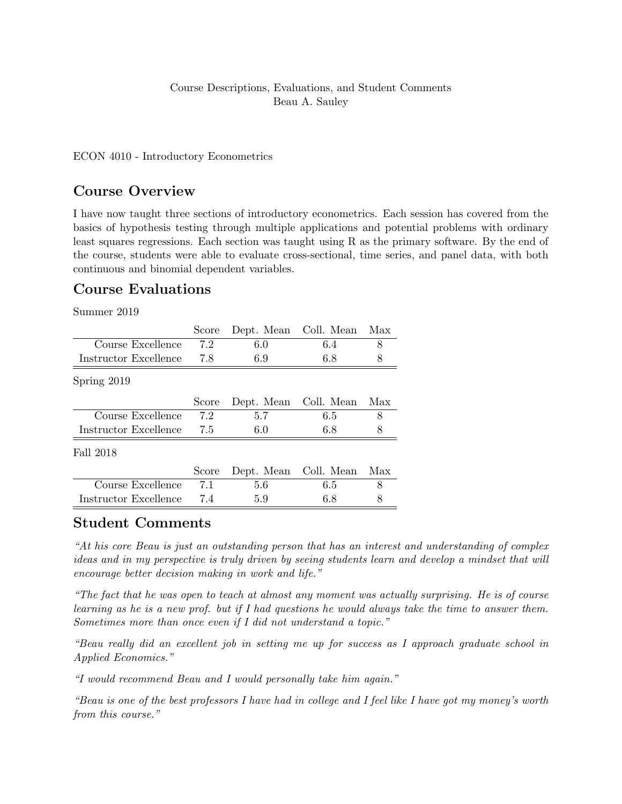#### Course Descriptions, Evaluations, and Student Comments Beau A. Sauley

#### ECON 4010 - Introductory Econometrics

### Course Overview

I have now taught three sections of introductory econometrics. Each session has covered from the basics of hypothesis testing through multiple applications and potential problems with ordinary least squares regressions. Each section was taught using R as the primary software. By the end of the course, students were able to evaluate cross-sectional, time series, and panel data, with both continuous and binomial dependent variables.

# Course Evaluations

Summer 2019

|                       | Score |                       | Dept. Mean Coll. Mean | Max |
|-----------------------|-------|-----------------------|-----------------------|-----|
| Course Excellence     | 7.2   | 6.0                   | 6.4                   | 8   |
| Instructor Excellence | 7.8   | 6.9                   | 6.8                   | 8   |
| Spring 2019           |       |                       |                       |     |
|                       | Score | Dept. Mean Coll. Mean |                       | Max |
| Course Excellence     | 7.2   | 5.7                   | 6.5                   | 8   |
| Instructor Excellence | 7.5   | 6.0                   | 6.8                   | 8   |
| Fall 2018             |       |                       |                       |     |
|                       | Score | Dept. Mean Coll. Mean |                       | Max |
| Course Excellence     | 7.1   | 5.6                   | 6.5                   | 8   |
| Instructor Excellence | 7.4   | 5.9                   | 6.8                   | 8   |

### Student Comments

"At his core Beau is just an outstanding person that has an interest and understanding of complex ideas and in my perspective is truly driven by seeing students learn and develop a mindset that will encourage better decision making in work and life."

"The fact that he was open to teach at almost any moment was actually surprising. He is of course learning as he is a new prof. but if I had questions he would always take the time to answer them. Sometimes more than once even if I did not understand a topic."

"Beau really did an excellent job in setting me up for success as I approach graduate school in Applied Economics."

"I would recommend Beau and I would personally take him again."

"Beau is one of the best professors I have had in college and I feel like I have got my money's worth from this course."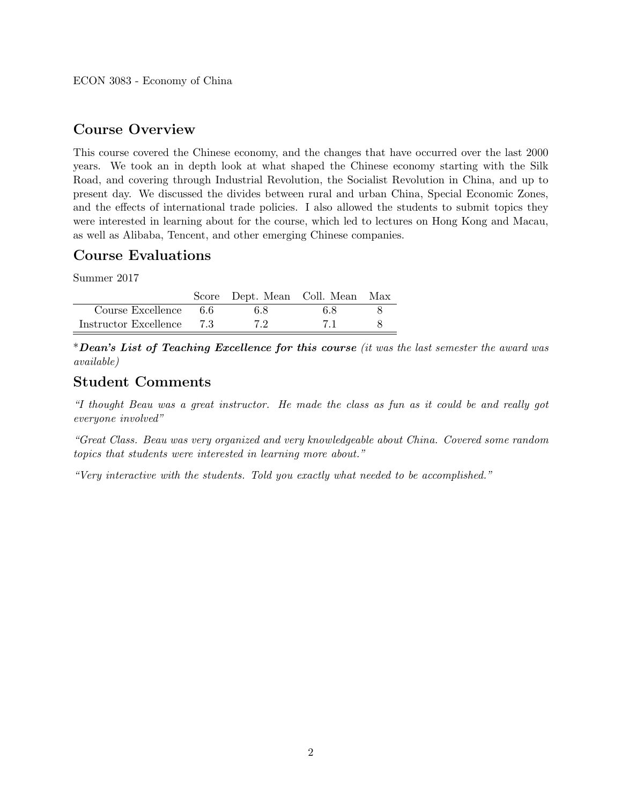## Course Overview

This course covered the Chinese economy, and the changes that have occurred over the last 2000 years. We took an in depth look at what shaped the Chinese economy starting with the Silk Road, and covering through Industrial Revolution, the Socialist Revolution in China, and up to present day. We discussed the divides between rural and urban China, Special Economic Zones, and the effects of international trade policies. I also allowed the students to submit topics they were interested in learning about for the course, which led to lectures on Hong Kong and Macau, as well as Alibaba, Tencent, and other emerging Chinese companies.

# Course Evaluations

Summer 2017

|                           |      | Score Dept. Mean Coll. Mean Max |     |  |
|---------------------------|------|---------------------------------|-----|--|
| $Course$ Excellence $6.6$ |      | 6.8                             | 6.8 |  |
| Instructor Excellence     | - 73 | 7.2                             |     |  |

\*Dean's List of Teaching Excellence for this course (it was the last semester the award was available)

# Student Comments

"I thought Beau was a great instructor. He made the class as fun as it could be and really got everyone involved"

"Great Class. Beau was very organized and very knowledgeable about China. Covered some random topics that students were interested in learning more about."

"Very interactive with the students. Told you exactly what needed to be accomplished."